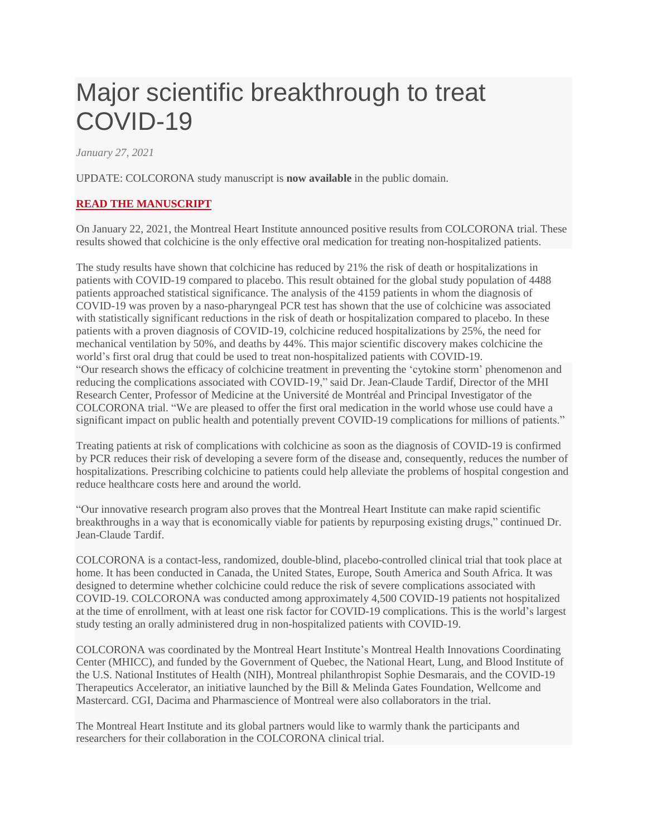## Major scientific breakthrough to treat COVID-19

*January 27, 2021*

UPDATE: COLCORONA study manuscript is **now available** in the public domain.

## **READ THE [MANUSCRIPT](https://www.medrxiv.org/content/10.1101/2021.01.26.21250494v1)**

On January 22, 2021, the Montreal Heart Institute announced positive results from COLCORONA trial. These results showed that colchicine is the only effective oral medication for treating non-hospitalized patients.

The study results have shown that colchicine has reduced by 21% the risk of death or hospitalizations in patients with COVID-19 compared to placebo. This result obtained for the global study population of 4488 patients approached statistical significance. The analysis of the 4159 patients in whom the diagnosis of COVID-19 was proven by a naso-pharyngeal PCR test has shown that the use of colchicine was associated with statistically significant reductions in the risk of death or hospitalization compared to placebo. In these patients with a proven diagnosis of COVID-19, colchicine reduced hospitalizations by 25%, the need for mechanical ventilation by 50%, and deaths by 44%. This major scientific discovery makes colchicine the world's first oral drug that could be used to treat non-hospitalized patients with COVID-19. "Our research shows the efficacy of colchicine treatment in preventing the 'cytokine storm' phenomenon and reducing the complications associated with COVID-19," said Dr. Jean-Claude Tardif, Director of the MHI Research Center, Professor of Medicine at the Université de Montréal and Principal Investigator of the COLCORONA trial. "We are pleased to offer the first oral medication in the world whose use could have a significant impact on public health and potentially prevent COVID-19 complications for millions of patients."

Treating patients at risk of complications with colchicine as soon as the diagnosis of COVID-19 is confirmed by PCR reduces their risk of developing a severe form of the disease and, consequently, reduces the number of hospitalizations. Prescribing colchicine to patients could help alleviate the problems of hospital congestion and reduce healthcare costs here and around the world.

"Our innovative research program also proves that the Montreal Heart Institute can make rapid scientific breakthroughs in a way that is economically viable for patients by repurposing existing drugs," continued Dr. Jean-Claude Tardif.

COLCORONA is a contact-less, randomized, double-blind, placebo-controlled clinical trial that took place at home. It has been conducted in Canada, the United States, Europe, South America and South Africa. It was designed to determine whether colchicine could reduce the risk of severe complications associated with COVID-19. COLCORONA was conducted among approximately 4,500 COVID-19 patients not hospitalized at the time of enrollment, with at least one risk factor for COVID-19 complications. This is the world's largest study testing an orally administered drug in non-hospitalized patients with COVID-19.

COLCORONA was coordinated by the Montreal Heart Institute's Montreal Health Innovations Coordinating Center (MHICC), and funded by the Government of Quebec, the National Heart, Lung, and Blood Institute of the U.S. National Institutes of Health (NIH), Montreal philanthropist Sophie Desmarais, and the COVID-19 Therapeutics Accelerator, an initiative launched by the Bill & Melinda Gates Foundation, Wellcome and Mastercard. CGI, Dacima and Pharmascience of Montreal were also collaborators in the trial.

The Montreal Heart Institute and its global partners would like to warmly thank the participants and researchers for their collaboration in the COLCORONA clinical trial.